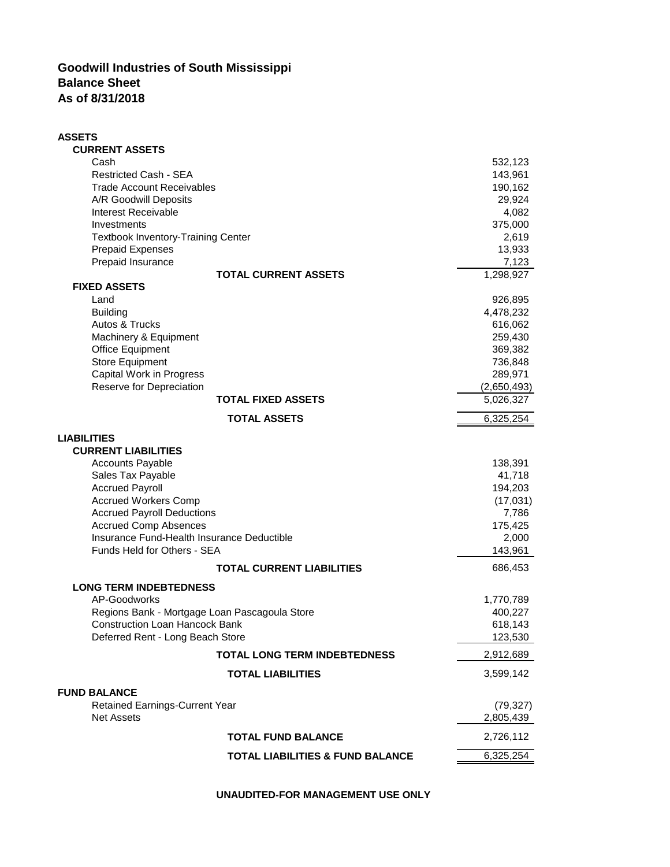## **Goodwill Industries of South Mississippi Balance Sheet As of 8/31/2018**

| <b>ASSETS</b>                                 |                                             |             |
|-----------------------------------------------|---------------------------------------------|-------------|
| <b>CURRENT ASSETS</b>                         |                                             |             |
| Cash                                          |                                             | 532,123     |
| <b>Restricted Cash - SEA</b>                  |                                             | 143,961     |
| <b>Trade Account Receivables</b>              |                                             | 190,162     |
| A/R Goodwill Deposits                         |                                             | 29,924      |
| Interest Receivable                           |                                             | 4,082       |
| Investments                                   |                                             | 375,000     |
| <b>Textbook Inventory-Training Center</b>     |                                             | 2,619       |
| <b>Prepaid Expenses</b>                       |                                             | 13,933      |
| Prepaid Insurance                             |                                             | 7,123       |
| <b>FIXED ASSETS</b>                           | <b>TOTAL CURRENT ASSETS</b>                 | 1,298,927   |
| Land                                          |                                             | 926,895     |
| <b>Building</b>                               |                                             | 4,478,232   |
| Autos & Trucks                                |                                             | 616,062     |
| Machinery & Equipment                         |                                             | 259,430     |
| <b>Office Equipment</b>                       |                                             | 369,382     |
| <b>Store Equipment</b>                        |                                             | 736,848     |
| <b>Capital Work in Progress</b>               |                                             | 289,971     |
| Reserve for Depreciation                      |                                             | (2,650,493) |
|                                               | <b>TOTAL FIXED ASSETS</b>                   | 5,026,327   |
|                                               | <b>TOTAL ASSETS</b>                         | 6,325,254   |
| <b>LIABILITIES</b>                            |                                             |             |
| <b>CURRENT LIABILITIES</b>                    |                                             |             |
| <b>Accounts Payable</b>                       |                                             | 138,391     |
| Sales Tax Payable                             |                                             | 41,718      |
| <b>Accrued Payroll</b>                        |                                             | 194,203     |
| <b>Accrued Workers Comp</b>                   |                                             | (17,031)    |
| <b>Accrued Payroll Deductions</b>             |                                             | 7,786       |
| <b>Accrued Comp Absences</b>                  |                                             | 175,425     |
| Insurance Fund-Health Insurance Deductible    |                                             | 2,000       |
| Funds Held for Others - SEA                   |                                             | 143,961     |
|                                               | <b>TOTAL CURRENT LIABILITIES</b>            | 686,453     |
| <b>LONG TERM INDEBTEDNESS</b>                 |                                             |             |
| AP-Goodworks                                  |                                             | 1,770,789   |
| Regions Bank - Mortgage Loan Pascagoula Store |                                             | 400,227     |
| <b>Construction Loan Hancock Bank</b>         |                                             | 618,143     |
| Deferred Rent - Long Beach Store              |                                             | 123,530     |
|                                               | <b>TOTAL LONG TERM INDEBTEDNESS</b>         | 2,912,689   |
|                                               | <b>TOTAL LIABILITIES</b>                    | 3,599,142   |
| <b>FUND BALANCE</b>                           |                                             |             |
| <b>Retained Earnings-Current Year</b>         |                                             | (79, 327)   |
| <b>Net Assets</b>                             |                                             | 2,805,439   |
|                                               | <b>TOTAL FUND BALANCE</b>                   | 2,726,112   |
|                                               | <b>TOTAL LIABILITIES &amp; FUND BALANCE</b> | 6,325,254   |

**UNAUDITED-FOR MANAGEMENT USE ONLY**